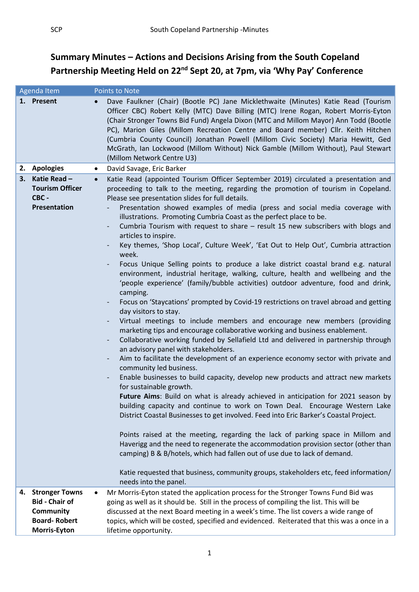## **Summary Minutes – Actions and Decisions Arising from the South Copeland**  Partnership Meeting Held on 22<sup>nd</sup> Sept 20, at 7pm, via 'Why Pay' Conference

| Agenda Item |                                                                | <b>Points to Note</b>                                                                                                                                                                                                                                                                                                                                                                                                                                                                                                                                                                                                                                                                                                                                                                                                                                                                                                                                                                                                                                                                                                                                                                                                                                                                                                                                                                                                                                                                                                                                                                                                                                                                                                                                                                                                                                                                                                                                                                                                                                                                                                                                                                                                             |
|-------------|----------------------------------------------------------------|-----------------------------------------------------------------------------------------------------------------------------------------------------------------------------------------------------------------------------------------------------------------------------------------------------------------------------------------------------------------------------------------------------------------------------------------------------------------------------------------------------------------------------------------------------------------------------------------------------------------------------------------------------------------------------------------------------------------------------------------------------------------------------------------------------------------------------------------------------------------------------------------------------------------------------------------------------------------------------------------------------------------------------------------------------------------------------------------------------------------------------------------------------------------------------------------------------------------------------------------------------------------------------------------------------------------------------------------------------------------------------------------------------------------------------------------------------------------------------------------------------------------------------------------------------------------------------------------------------------------------------------------------------------------------------------------------------------------------------------------------------------------------------------------------------------------------------------------------------------------------------------------------------------------------------------------------------------------------------------------------------------------------------------------------------------------------------------------------------------------------------------------------------------------------------------------------------------------------------------|
|             | 1. Present                                                     | Dave Faulkner (Chair) (Bootle PC) Jane Micklethwaite (Minutes) Katie Read (Tourism<br>Officer CBC) Robert Kelly (MTC) Dave Billing (MTC) Irene Rogan, Robert Morris-Eyton<br>(Chair Stronger Towns Bid Fund) Angela Dixon (MTC and Millom Mayor) Ann Todd (Bootle<br>PC), Marion Giles (Millom Recreation Centre and Board member) Cllr. Keith Hitchen<br>(Cumbria County Council) Jonathan Powell (Millom Civic Society) Maria Hewitt, Ged<br>McGrath, Ian Lockwood (Millom Without) Nick Gamble (Millom Without), Paul Stewart<br>(Millom Network Centre U3)                                                                                                                                                                                                                                                                                                                                                                                                                                                                                                                                                                                                                                                                                                                                                                                                                                                                                                                                                                                                                                                                                                                                                                                                                                                                                                                                                                                                                                                                                                                                                                                                                                                                    |
|             | 2. Apologies                                                   | David Savage, Eric Barker<br>$\bullet$                                                                                                                                                                                                                                                                                                                                                                                                                                                                                                                                                                                                                                                                                                                                                                                                                                                                                                                                                                                                                                                                                                                                                                                                                                                                                                                                                                                                                                                                                                                                                                                                                                                                                                                                                                                                                                                                                                                                                                                                                                                                                                                                                                                            |
| 3.          | Katie Read-<br><b>Tourism Officer</b><br>CBC -<br>Presentation | Katie Read (appointed Tourism Officer September 2019) circulated a presentation and<br>$\bullet$<br>proceeding to talk to the meeting, regarding the promotion of tourism in Copeland.<br>Please see presentation slides for full details.<br>Presentation showed examples of media (press and social media coverage with<br>illustrations. Promoting Cumbria Coast as the perfect place to be.<br>Cumbria Tourism with request to share - result 15 new subscribers with blogs and<br>$\qquad \qquad \blacksquare$<br>articles to inspire.<br>Key themes, 'Shop Local', Culture Week', 'Eat Out to Help Out', Cumbria attraction<br>week.<br>Focus Unique Selling points to produce a lake district coastal brand e.g. natural<br>environment, industrial heritage, walking, culture, health and wellbeing and the<br>'people experience' (family/bubble activities) outdoor adventure, food and drink,<br>camping.<br>Focus on 'Staycations' prompted by Covid-19 restrictions on travel abroad and getting<br>$\overline{\phantom{a}}$<br>day visitors to stay.<br>Virtual meetings to include members and encourage new members (providing<br>marketing tips and encourage collaborative working and business enablement.<br>Collaborative working funded by Sellafield Ltd and delivered in partnership through<br>an advisory panel with stakeholders.<br>Aim to facilitate the development of an experience economy sector with private and<br>community led business.<br>Enable businesses to build capacity, develop new products and attract new markets<br>for sustainable growth.<br>Future Aims: Build on what is already achieved in anticipation for 2021 season by<br>building capacity and continue to work on Town Deal. Encourage Western Lake<br>District Coastal Businesses to get involved. Feed into Eric Barker's Coastal Project.<br>Points raised at the meeting, regarding the lack of parking space in Millom and<br>Haverigg and the need to regenerate the accommodation provision sector (other than<br>camping) B & B/hotels, which had fallen out of use due to lack of demand.<br>Katie requested that business, community groups, stakeholders etc, feed information/<br>needs into the panel. |
| 4.          | <b>Stronger Towns</b>                                          | Mr Morris-Eyton stated the application process for the Stronger Towns Fund Bid was                                                                                                                                                                                                                                                                                                                                                                                                                                                                                                                                                                                                                                                                                                                                                                                                                                                                                                                                                                                                                                                                                                                                                                                                                                                                                                                                                                                                                                                                                                                                                                                                                                                                                                                                                                                                                                                                                                                                                                                                                                                                                                                                                |
|             | <b>Bid - Chair of</b>                                          | going as well as it should be. Still in the process of compiling the list. This will be                                                                                                                                                                                                                                                                                                                                                                                                                                                                                                                                                                                                                                                                                                                                                                                                                                                                                                                                                                                                                                                                                                                                                                                                                                                                                                                                                                                                                                                                                                                                                                                                                                                                                                                                                                                                                                                                                                                                                                                                                                                                                                                                           |
|             | <b>Community</b>                                               | discussed at the next Board meeting in a week's time. The list covers a wide range of                                                                                                                                                                                                                                                                                                                                                                                                                                                                                                                                                                                                                                                                                                                                                                                                                                                                                                                                                                                                                                                                                                                                                                                                                                                                                                                                                                                                                                                                                                                                                                                                                                                                                                                                                                                                                                                                                                                                                                                                                                                                                                                                             |
|             | <b>Board-Robert</b>                                            | topics, which will be costed, specified and evidenced. Reiterated that this was a once in a                                                                                                                                                                                                                                                                                                                                                                                                                                                                                                                                                                                                                                                                                                                                                                                                                                                                                                                                                                                                                                                                                                                                                                                                                                                                                                                                                                                                                                                                                                                                                                                                                                                                                                                                                                                                                                                                                                                                                                                                                                                                                                                                       |
|             | <b>Morris-Eyton</b>                                            | lifetime opportunity.                                                                                                                                                                                                                                                                                                                                                                                                                                                                                                                                                                                                                                                                                                                                                                                                                                                                                                                                                                                                                                                                                                                                                                                                                                                                                                                                                                                                                                                                                                                                                                                                                                                                                                                                                                                                                                                                                                                                                                                                                                                                                                                                                                                                             |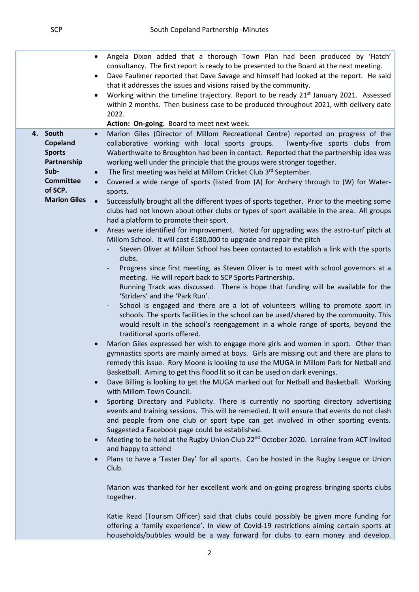|                                                                                                                    | Angela Dixon added that a thorough Town Plan had been produced by 'Hatch'<br>$\bullet$<br>consultancy. The first report is ready to be presented to the Board at the next meeting.<br>Dave Faulkner reported that Dave Savage and himself had looked at the report. He said<br>$\bullet$<br>that it addresses the issues and visions raised by the community.<br>Working within the timeline trajectory. Report to be ready 21 <sup>st</sup> January 2021. Assessed<br>$\bullet$<br>within 2 months. Then business case to be produced throughout 2021, with delivery date<br>2022.                                                                                                                                                                                                                                                                                                                                                                                                                                                                                                                                                                                                                                                                                                                                                                                                                                                                                                                                                                                                                                                                                                                                                                                                                                                                                                                                                                                                                                                                                                                                                                                                                                                                                                                                                                                                                                                                                                                                                                                                                                                                              |
|--------------------------------------------------------------------------------------------------------------------|------------------------------------------------------------------------------------------------------------------------------------------------------------------------------------------------------------------------------------------------------------------------------------------------------------------------------------------------------------------------------------------------------------------------------------------------------------------------------------------------------------------------------------------------------------------------------------------------------------------------------------------------------------------------------------------------------------------------------------------------------------------------------------------------------------------------------------------------------------------------------------------------------------------------------------------------------------------------------------------------------------------------------------------------------------------------------------------------------------------------------------------------------------------------------------------------------------------------------------------------------------------------------------------------------------------------------------------------------------------------------------------------------------------------------------------------------------------------------------------------------------------------------------------------------------------------------------------------------------------------------------------------------------------------------------------------------------------------------------------------------------------------------------------------------------------------------------------------------------------------------------------------------------------------------------------------------------------------------------------------------------------------------------------------------------------------------------------------------------------------------------------------------------------------------------------------------------------------------------------------------------------------------------------------------------------------------------------------------------------------------------------------------------------------------------------------------------------------------------------------------------------------------------------------------------------------------------------------------------------------------------------------------------------|
|                                                                                                                    |                                                                                                                                                                                                                                                                                                                                                                                                                                                                                                                                                                                                                                                                                                                                                                                                                                                                                                                                                                                                                                                                                                                                                                                                                                                                                                                                                                                                                                                                                                                                                                                                                                                                                                                                                                                                                                                                                                                                                                                                                                                                                                                                                                                                                                                                                                                                                                                                                                                                                                                                                                                                                                                                  |
| 4. South<br>Copeland<br><b>Sports</b><br>Partnership<br>Sub-<br><b>Committee</b><br>of SCP.<br><b>Marion Giles</b> | Action: On-going. Board to meet next week.<br>Marion Giles (Director of Millom Recreational Centre) reported on progress of the<br>$\bullet$<br>collaborative working with local sports groups.<br>Twenty-five sports clubs from<br>Waberthwaite to Broughton had been in contact. Reported that the partnership idea was<br>working well under the principle that the groups were stronger together.<br>The first meeting was held at Millom Cricket Club 3rd September.<br>Covered a wide range of sports (listed from (A) for Archery through to (W) for Water-<br>sports.<br>Successfully brought all the different types of sports together. Prior to the meeting some<br>clubs had not known about other clubs or types of sport available in the area. All groups<br>had a platform to promote their sport.<br>Areas were identified for improvement. Noted for upgrading was the astro-turf pitch at<br>$\bullet$<br>Millom School. It will cost £180,000 to upgrade and repair the pitch<br>Steven Oliver at Millom School has been contacted to establish a link with the sports<br>clubs.<br>Progress since first meeting, as Steven Oliver is to meet with school governors at a<br>meeting. He will report back to SCP Sports Partnership.<br>Running Track was discussed. There is hope that funding will be available for the<br>'Striders' and the 'Park Run'.<br>School is engaged and there are a lot of volunteers willing to promote sport in<br>schools. The sports facilities in the school can be used/shared by the community. This<br>would result in the school's reengagement in a whole range of sports, beyond the<br>traditional sports offered.<br>Marion Giles expressed her wish to engage more girls and women in sport. Other than<br>$\bullet$<br>gymnastics sports are mainly aimed at boys. Girls are missing out and there are plans to<br>remedy this issue. Rory Moore is looking to use the MUGA in Millom Park for Netball and<br>Basketball. Aiming to get this flood lit so it can be used on dark evenings.<br>Dave Billing is looking to get the MUGA marked out for Netball and Basketball. Working<br>$\bullet$<br>with Millom Town Council.<br>Sporting Directory and Publicity. There is currently no sporting directory advertising<br>$\bullet$<br>events and training sessions. This will be remedied. It will ensure that events do not clash<br>and people from one club or sport type can get involved in other sporting events.<br>Suggested a Facebook page could be established.<br>Meeting to be held at the Rugby Union Club 22 <sup>nd</sup> October 2020. Lorraine from ACT invited<br>$\bullet$ |
|                                                                                                                    | and happy to attend<br>Plans to have a 'Taster Day' for all sports. Can be hosted in the Rugby League or Union                                                                                                                                                                                                                                                                                                                                                                                                                                                                                                                                                                                                                                                                                                                                                                                                                                                                                                                                                                                                                                                                                                                                                                                                                                                                                                                                                                                                                                                                                                                                                                                                                                                                                                                                                                                                                                                                                                                                                                                                                                                                                                                                                                                                                                                                                                                                                                                                                                                                                                                                                   |
|                                                                                                                    | Club.<br>Marion was thanked for her excellent work and on-going progress bringing sports clubs<br>together.<br>Katie Read (Tourism Officer) said that clubs could possibly be given more funding for<br>offering a 'family experience'. In view of Covid-19 restrictions aiming certain sports at<br>households/bubbles would be a way forward for clubs to earn money and develop.                                                                                                                                                                                                                                                                                                                                                                                                                                                                                                                                                                                                                                                                                                                                                                                                                                                                                                                                                                                                                                                                                                                                                                                                                                                                                                                                                                                                                                                                                                                                                                                                                                                                                                                                                                                                                                                                                                                                                                                                                                                                                                                                                                                                                                                                              |